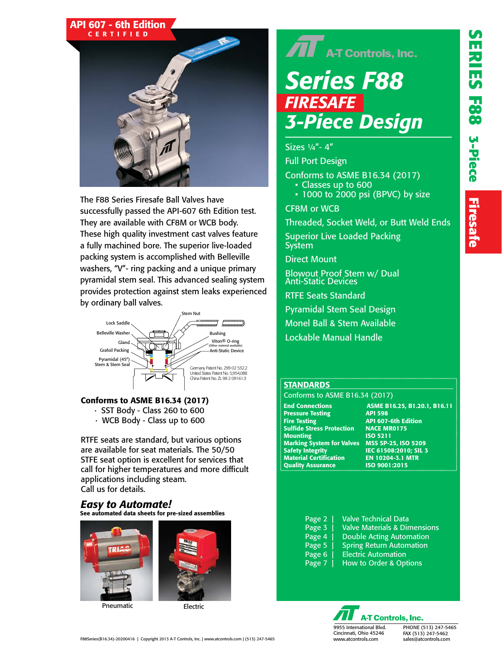# API 607 - 6th Edition



The F88 Series Firesafe Ball Valves have successfully passed the API-607 6th Edition test. They are available with CF8M or WCB body. These high quality investment cast valves feature a fully machined bore. The superior live-loaded packing system is accomplished with Belleville washers, "V"- ring packing and a unique primary pyramidal stem seal. This advanced sealing system provides protection against stem leaks experienced by ordinary ball valves.



#### Conforms to ASME B16.34 (2017)

- · SST Body Class 260 to 600
- · WCB Body Class up to 600

RTFE seats are standard, but various options are available for seat materials. The 50/50 STFE seat option is excellent for services that call for higher temperatures and more difficult applications including steam. Call us for details.

#### See automated data sheets for pre-sized assemblies *Easy to Automate!*



Pneumatic Electric

# $\widehat{\mathbf{H}}$  A-T Controls, Inc. *Series F88 FIRESAFE 3-Piece Design*

Sizes ¼"- 4"

Full Port Design

Conforms to ASME B16.34 (2017) • Classes up to 600

• 1000 to 2000 psi (BPVC) by size

CF8M or WCB

Threaded, Socket Weld, or Butt Weld Ends

Superior Live Loaded Packing **System** 

Direct Mount

Blowout Proof Stem w/ Dual Anti-Static Devices

RTFE Seats Standard

Pyramidal Stem Seal Design

Monel Ball & Stem Available

Lockable Manual Handle

#### **STANDARDS**

Conforms to ASME B16.34 (2017)

**Pressure Testing** Fire Testing API 607-6th Edition **Sulfide Stress Protection** Mounting **ISO** 5211 Marking System for Valves MSS SP-25, ISO 5209<br>Safety Integrity \_\_\_\_\_\_\_\_\_\_\_IEC 61508:2010; SIL 3 Material Certification EN 10204-3.1 MTR **Quality Assurance** 

End Connections **ASME B16.25, B1.20.1, B16.11**<br>Pressure Testing **API 598** IEC 61508:2010; SIL 3

- Page 2 | Valve Technical Data Page 3 | Valve Materials & Dimensions Page 4 | Double Acting Automation Page 5 | Spring Return Automation Page 6 | Electric Automation
- Page 7 | How to Order & Options
	- **A-T Controls, Inc.**

9955 International Blvd. Cincinnati, Ohio 45246 www.atcontrols.com

PHONE (513) 247-5465 FAX (513) 247-5462 sales@atcontrols.com

F88Series(B16.34)-20200416 | Copyright 2013 A-T Controls, Inc. | www.atcontrols.com | (513) 247-5465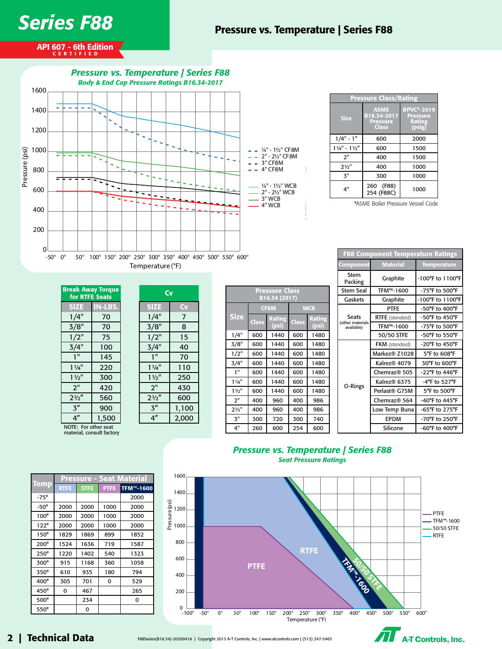

API 607 - 6th Edition CERTIFIED



| <b>Pressure Class/Rating</b>        |                                                        |                                                                 |  |  |  |  |  |  |
|-------------------------------------|--------------------------------------------------------|-----------------------------------------------------------------|--|--|--|--|--|--|
| <b>Size</b>                         | <b>ASME</b><br>B16.34-2017<br><b>Pressure</b><br>Class | <b>BPVC*-2019</b><br><b>Pressure</b><br><b>Rating</b><br>(psig) |  |  |  |  |  |  |
| $1/4" - 1"$                         | 600                                                    | 2000                                                            |  |  |  |  |  |  |
| $1\frac{1}{4}$ " - $1\frac{1}{2}$ " | 600                                                    | 1500                                                            |  |  |  |  |  |  |
| 2"                                  | 400                                                    | 1500                                                            |  |  |  |  |  |  |
| $21/2$ "                            | 400                                                    | 1000                                                            |  |  |  |  |  |  |
| $\mathbf{z}$ "                      | 300                                                    | 1000                                                            |  |  |  |  |  |  |
| 4"                                  | 260 (F88)<br>254 (F88C)                                | 1000                                                            |  |  |  |  |  |  |

\*ASME Boiler Pressure Vessel Code

F88 Component Temperature Ratings

| <b>Break Away Torque</b><br>for RTFE Seats |                |  |  |  |  |  |  |
|--------------------------------------------|----------------|--|--|--|--|--|--|
| <b>SIZE</b>                                | <b>IN-LBS.</b> |  |  |  |  |  |  |
| 1/4"                                       | 70             |  |  |  |  |  |  |
| 3/8"                                       | 70             |  |  |  |  |  |  |
| 1/2"                                       | 75             |  |  |  |  |  |  |
| 3/4"                                       | 100            |  |  |  |  |  |  |
| 1"                                         | 145            |  |  |  |  |  |  |
| 11/4"                                      | 220            |  |  |  |  |  |  |
| $1\frac{1}{2}$                             | 300            |  |  |  |  |  |  |
| 2"                                         | 420            |  |  |  |  |  |  |
| $2\frac{1}{2}$                             | 560            |  |  |  |  |  |  |
| 3″                                         | 900            |  |  |  |  |  |  |
| 4″                                         | 1,500          |  |  |  |  |  |  |
| NOTE: For other seat                       |                |  |  |  |  |  |  |

| Cv             |       |  |  |  |  |  |  |
|----------------|-------|--|--|--|--|--|--|
| <b>SIZE</b>    | CV    |  |  |  |  |  |  |
| 1/4"           | 7     |  |  |  |  |  |  |
| 3/8"           | 8     |  |  |  |  |  |  |
| 1/2"           | 15    |  |  |  |  |  |  |
| 3/4"           | 40    |  |  |  |  |  |  |
| 1"             | 70    |  |  |  |  |  |  |
| $1^{1/4"}$     | 110   |  |  |  |  |  |  |
| $1\frac{1}{2}$ | 250   |  |  |  |  |  |  |
| 2"             | 430   |  |  |  |  |  |  |
| $2\frac{1}{2}$ | 600   |  |  |  |  |  |  |
| 3''            | 1,100 |  |  |  |  |  |  |
| 4″             | 2,000 |  |  |  |  |  |  |

| NOTE: For other seat      |  |
|---------------------------|--|
| material, consult factory |  |

|                | B16.34 (2017) |                 |              |                        |  |  |  |  |  |  |
|----------------|---------------|-----------------|--------------|------------------------|--|--|--|--|--|--|
|                |               | <b>CF8M</b>     | <b>WCB</b>   |                        |  |  |  |  |  |  |
| <b>Size</b>    | <b>Class</b>  | Rating<br>(psi) | <b>Class</b> | <b>Rating</b><br>(psi) |  |  |  |  |  |  |
| 1/4"           | 600           | 1440            | 600          | 1480                   |  |  |  |  |  |  |
| 3/8"           | 600           | 1440            | 600          | 1480                   |  |  |  |  |  |  |
| 1/2"           | 600           | 1440            | 600          | 1480                   |  |  |  |  |  |  |
| 3/4"           | 600           | 1440            | 600          | 1480                   |  |  |  |  |  |  |
| 1"             | 600           | 1440            | 600          | 1480                   |  |  |  |  |  |  |
| $1\frac{1}{4}$ | 600           | 1440            | 600          | 1480                   |  |  |  |  |  |  |
| $1\frac{1}{2}$ | 600           | 1440            | 600          | 1480                   |  |  |  |  |  |  |
| 2"             | 400           | 960             | 400          | 986                    |  |  |  |  |  |  |
| $2\frac{1}{2}$ | 400           | 960             | 400          | 986                    |  |  |  |  |  |  |
| 3"             | 300           | 720             | 300          | 740                    |  |  |  |  |  |  |
| 4"             | 260           | 600             | 254          | 600                    |  |  |  |  |  |  |

Pressure Class

|               |  | Component                      | <b>Material</b>           | <b>Temperature</b>                  |  |  |  |
|---------------|--|--------------------------------|---------------------------|-------------------------------------|--|--|--|
|               |  | Stem<br>Packing                | Graphite                  | -100°F to 1100°F                    |  |  |  |
|               |  | <b>Stem Seal</b>               | TFM™-1600                 | $-75^{\circ}$ F to 500°F            |  |  |  |
|               |  | Gaskets                        | Graphite                  | -100°F to 1100°F                    |  |  |  |
| в             |  |                                | <b>PTFE</b>               | $-50^{\circ}$ F to $400^{\circ}$ F  |  |  |  |
| <b>Rating</b> |  | Seats                          | RTFE (standard)           | $-50^{\circ}$ F to $450^{\circ}$ F  |  |  |  |
| (psi)         |  | (other materials<br>available) | TFM™-1600                 | -75°F to 500°F                      |  |  |  |
| 1480          |  |                                | 50/50 STFE                | -50°F to 550°F                      |  |  |  |
| 1480          |  |                                | <b>FKM</b> (standard)     | $-20^{\circ}$ F to $450^{\circ}$ F  |  |  |  |
| 1480          |  |                                | Markez® Z1028             | 5°F to 608°F                        |  |  |  |
| 1480          |  |                                | Kalrez® 4079              | 30°F to 600°F                       |  |  |  |
| 1480          |  |                                | Chemraz <sup>®</sup> 505  | -22°F to 446°F                      |  |  |  |
| 1480          |  |                                | Kalrez® 6375              | $-4$ °F to 527°F                    |  |  |  |
| 1480          |  | O-Rings                        | Perlast <sup>®</sup> G75M | 5°F to 500°F                        |  |  |  |
| 986           |  |                                | Chemraz <sup>®</sup> 564  | $-40^{\circ}$ F to $445^{\circ}$ F  |  |  |  |
| 986           |  |                                | Low Temp Buna             | -65°F to 275°F                      |  |  |  |
| 740           |  |                                | <b>EPDM</b>               | $-70^{\circ}$ F to 250 $^{\circ}$ F |  |  |  |
| 600           |  |                                | Silicone                  | $-60^{\circ}$ F to $400^{\circ}$ F  |  |  |  |

#### *Pressure vs. Temperature | Series F88 Seat Pressure Ratings*



## 2 | Technical Data

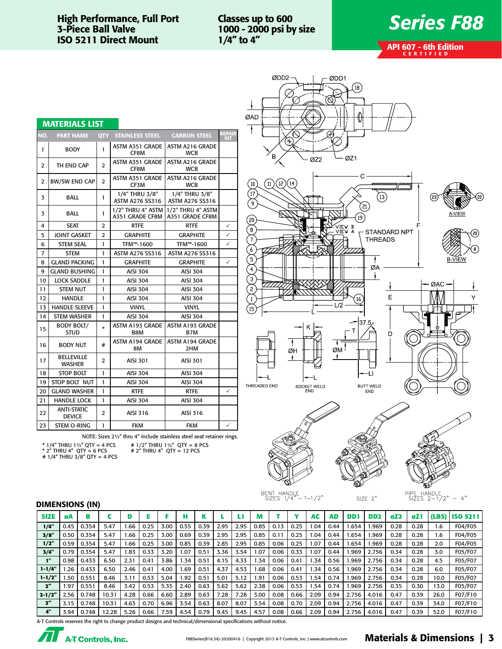#### High Performance, Full Port 3-Piece Ball Valve ISO 5211 Direct Mount

Classes up to 600 1000 - 2000 psi by size 1/4" to 4"

# *Series F88*

API 607 - 6th Edition CERTIFIED

|                | <b>MATERIALS LIST</b>               |                |                                          |                                          |               |
|----------------|-------------------------------------|----------------|------------------------------------------|------------------------------------------|---------------|
| NO.            | <b>PART NAME</b>                    |                | <b>QTY STAINLESS STEEL</b>               | <b>CARBON STEEL</b>                      | REPAIR<br>KIT |
| 1              | <b>BODY</b>                         | 1              | ASTM A351 GRADE<br>CF8M                  | ASTM A216 GRADE<br><b>WCB</b>            |               |
| $\overline{2}$ | TH END CAP                          | $\overline{2}$ | <b>ASTM A351 GRADE</b><br>CF8M           | <b>ASTM A216 GRADE</b><br><b>WCB</b>     |               |
| $\overline{2}$ | <b>BW/SW END CAP</b>                | $\overline{2}$ | ASTM A351 GRADE<br>CF3M                  | <b>ASTM A216 GRADE</b><br><b>WCB</b>     |               |
| 3              | <b>BALL</b>                         | 1              | 1/4" THRU 3/8"<br><b>ASTM A276 SS316</b> | 1/4" THRU 3/8"<br><b>ASTM A276 SS316</b> |               |
| 3              | <b>BALL</b>                         | 1              | 1/2" THRU 4" ASTM<br>A351 GRADE CF8M     | 1/2" THRU 4" ASTM<br>A351 GRADE CF8M     |               |
| 4              | <b>SEAT</b>                         | $\overline{2}$ | <b>RTFE</b>                              | <b>RTFE</b>                              | ✓             |
| 5              | JOINT GASKET                        | 2              | <b>GRAPHITE</b>                          | <b>GRAPHITE</b>                          | ✓             |
| 6              | <b>STEM SEAL</b>                    | 1              | TFM™-1600                                | TFM™-1600                                | ✓             |
| 7              | <b>STEM</b>                         | 1              | <b>ASTM A276 SS316</b>                   | <b>ASTM A276 SS316</b>                   |               |
| 8              | <b>GLAND PACKING</b>                | 1              | <b>GRAPHITE</b>                          | <b>GRAPHITE</b>                          | ✓             |
| 9              | <b>GLAND BUSHING</b>                | 1              | <b>AISI 304</b>                          | <b>AISI 304</b>                          |               |
| 10             | <b>LOCK SADDLE</b>                  | 1              | <b>AISI 304</b>                          | <b>AISI 304</b>                          |               |
| 11             | <b>STEM NUT</b>                     | 1              | <b>AISI 304</b>                          | <b>AISI 304</b>                          |               |
| 12             | <b>HANDLE</b>                       | 1              | <b>AISI 304</b>                          | <b>AISI 304</b>                          |               |
| 13             | <b>HANDLE SLEEVE</b>                | 1              | <b>VINYL</b>                             | <b>VINYL</b>                             |               |
| 14             | <b>STEM WASHER</b>                  | 1              | <b>AISI 304</b>                          | <b>AISI 304</b>                          |               |
| 15             | <b>BODY BOLT/</b><br><b>STUD</b>    | $\ast$         | <b>ASTM A193 GRADE</b><br>B8M            | <b>ASTM A193 GRADE</b><br>B7M            |               |
| 16             | <b>BODY NUT</b>                     | #              | <b>ASTM A194 GRADE</b><br>8M             | <b>ASTM A194 GRADE</b><br>2HM            |               |
| 17             | <b>BELLEVILLE</b><br><b>WASHER</b>  | $\overline{2}$ | <b>AISI 301</b>                          | <b>AISI 301</b>                          |               |
| 18             | <b>STOP BOLT</b>                    | 1              | <b>AISI 304</b>                          | <b>AISI 304</b>                          |               |
| 19             | STOP BOLT NUT                       | 1              | <b>AISI 304</b>                          | <b>AISI 304</b>                          |               |
| 20             | <b>GLAND WASHER</b>                 | 1              | <b>RTFE</b>                              | <b>RTFE</b>                              | $\checkmark$  |
| 21             | <b>HANDLE LOCK</b>                  | 1              | <b>AISI 304</b>                          | <b>AISI 304</b>                          |               |
| 22             | <b>ANTI-STATIC</b><br><b>DEVICE</b> | $\overline{2}$ | AISI 316                                 | AISI 316                                 |               |
| 23             | STEM O-RING                         | 1              | <b>FKM</b>                               | <b>FKM</b>                               | ✓             |

NOTE: Sizes 2½" thru 4" include stainless steel seat retainer rings.

\* 1/4" THRU 1½" QTY = 4 PCS \* 2" THRU 4" QTY = 6 PCS # 1/4" THRU 3/8" QTY = 4 PCS

# 1/2" THRU 1½" QTY = 8 PCS # 2" THRU 4" QTY = 12 PCS





SIZE 2"

PIPE HANDLE<br>SIZES 2-1/2"  $-4"$ 

#### DIMENSIONS (IN)

| <b>SIZE</b>        | øA   | B     |       |       |      |      |      |      |      |      |       |      |      | AC   | AD   | DD.   | DD <sub>2</sub> | 6Z2  | øZ1  |      | (LBS) ISO 5211 |
|--------------------|------|-------|-------|-------|------|------|------|------|------|------|-------|------|------|------|------|-------|-----------------|------|------|------|----------------|
| 1/4"               | 0.45 | 0.354 | 5.47  | .66   | 0.25 | 3.00 | 0.55 | 0.39 | 2.95 | 2.95 | 0.85  | 0.13 | 0.25 | .04  | 0.44 | .654  | .969            | 0.28 | 0.28 | 1.6  | F04/F05        |
| 3/8"               | 0.50 | 0.354 | 5.47  | 66. ا | 0.25 | 3.00 | 0.69 | 0.39 | 2.95 | 2.95 | 0.85  | 0.11 | 0.25 | I.O4 | 0.44 | .654  | .969            | 0.28 | 0.28 | 1.6  | F04/F05        |
| 1/2"               | 0.59 | 0.354 | 5.47  | 66. ا | 0.25 | 3.00 | 0.85 | 0.39 | 2.85 | 2.95 | 0.85  | 0.06 | 0.25 | 1.07 | 0.44 | .654  | 969.            | 0.28 | 0.28 | 2.0  | F04/F05        |
| 3/4"               | 0.79 | 0.354 | 5.47  | .83   | 0.33 | 3.20 | .07  | 0.51 | 3.36 | 3.54 | .07   | 0.06 | 0.33 | .07  | 0.44 | .969  | 2.756           | 0.34 | 0.28 | 3.0  | F05/F07        |
| 1"                 | 0.98 | 0.433 | 6.50  | 2.31  | 0.41 | 3.86 | .34  | 0.51 | 4.15 | 4.33 | .34   | 0.06 | 0.41 | .34  | 0.56 | .969  | 2.756           | 0.34 | 0.28 | 4.5  | F05/F07        |
| $1 - 1/4"$         | .26  | 0.433 | 6.50  | 2.46  | 0.41 | 4.00 | .69  | 0.51 | 4.37 | 4.53 | . 68  | 0.06 | 0.41 | .34  | 0.56 | .969  | 2.756           | 0.34 | 0.28 | 6.0  | F05/F07        |
| $1 - 1/2"$         | .50  | 0.551 | 8.46  | 3.11  | 0.53 | 5.04 | .92  | 0.51 | 5.01 | 5.12 | 91. ا | 0.06 | 0.53 | .54  | 0.74 | .969  | 2.756           | 0.34 | 0.28 | 10.0 | F05/F07        |
| $2^{\prime\prime}$ | 97،، | 0.551 | 8.46  | 3.42  | 0.53 | 5.35 | 2.40 | 0.63 | 5.62 | 5.62 | 2.38  | 0.06 | 0.53 | .54  | 0.74 | .969  | 2.756           | 0.35 | 0.30 | 13.0 | F05/F07        |
| $2 - 1/2"$         | 2.56 | 0.748 | 10.31 | 4.28  | 0.66 | 6.60 | 2.89 | 0.63 | 7.28 | 7.28 | 3.00  | 0.08 | 0.66 | 2.09 | 0.94 | 2.756 | 4.016           | 0.47 | 0.39 | 26.0 | F07/F10        |
| $5^{\prime\prime}$ | 3.15 | 0.748 | 10.31 | 4.63  | 0.70 | 6.96 | 3.54 | 0.63 | 8.07 | 8.07 | 3.54  | 0.08 | 0.70 | 2.09 | 0.94 | 2.756 | 4.016           | 0.47 | 0.39 | 34.0 | F07/F10        |
| 4"                 | 3.94 | 0.748 | 12.28 | 5.26  | 0.66 | 7.59 | 4.54 | 0.79 | 9.45 | 9.45 | 4.57  | 0.08 | 0.66 | 2.09 | 0.94 | 2.756 | 4.016           | 0.47 | 0.39 | 52.0 | F07/F10        |

A-T Controls reserves the right to change product designs and technical/dimensional specifications without notice.



### F88Series(B16.34)-20200416 | Copyright 2013 A-T Controls, Inc. | www.atcontrols.com Materials & Dimensions | 3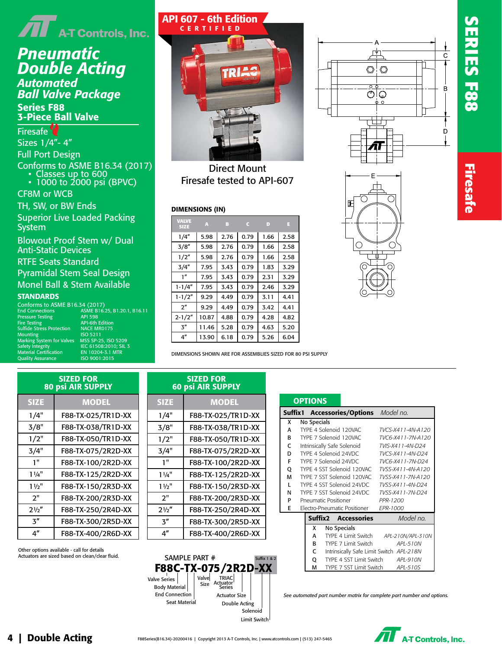

# *Pneumatic Double Acting*

*Automated Ball Valve Package* Series F88 3-Piece Ball Valve

#### Firesafe<sup>2</sup>

Sizes 1/4"- 4" Full Port Design

## Conforms to ASME B16.34 (2017)

- Classes up to 600
- 1000 to 2000 psi (BPVC)

#### CF8M or WCB

TH, SW, or BW Ends

Superior Live Loaded Packing System

Blowout Proof Stem w/ Dual Anti-Static Devices

RTFE Seats Standard

Pyramidal Stem Seal Design Monel Ball & Stem Available

API 598<br>API-6th Edition<br>NACE MR0175

#### **STANDARDS**

Conforms to ASME B16.34 (2017)<br>End Connections ASME B16. End Connections ASME B16.25, B1.20.1, B16.11

Pressure Testin<mark>g</mark><br>Fire Testing Sulfide Stress Protection NACE MR<br>Mounting 150 5211 Mounting ISO 5211 Marking System for Valves MSS SP-25, ISO 5209 Safety Integrity IEC 61508:2010; SIL 3 Material Certification EN 10204-3.1 MTR Quality Assurance ISO 9001:2015

| TRIAS |
|-------|
|       |
|       |
|       |
|       |

API 607 - 6th Edition CERTIFIED

Direct Mount Firesafe tested to API-607

#### DIMENSIONS (IN)

SIZED FOR 60 psi AIR SUPPLY

1/4" F88-TX-025/TR1D-XX 3/8" F88-TX-038/TR1D-XX 1/2" F88-TX-050/TR1D-XX 3/4" F88-TX-075/2R2D-XX 1" F88-TX-100/2R2D-XX 1¼" F88-TX-125/2R2D-XX

SIZE MODEL

| <b>VALVE</b><br><b>SIZE</b> | A     | в    | c    | D    | н    |
|-----------------------------|-------|------|------|------|------|
| 1/4''                       | 5.98  | 2.76 | 0.79 | 1.66 | 2.58 |
| 3/8''                       | 5.98  | 2.76 | 0.79 | 1.66 | 2.58 |
| 1/2"                        | 5.98  | 2.76 | 0.79 | 1.66 | 2.58 |
| 3/4''                       | 7.95  | 3.43 | 0.79 | 1.83 | 3.29 |
| 1''                         | 7.95  | 3.43 | 0.79 | 2.31 | 3.29 |
| $1 - 1/4"$                  | 7.95  | 3.43 | 0.79 | 2.46 | 3.29 |
| $1 - 1/2"$                  | 9.29  | 4.49 | 0.79 | 3.11 | 4.41 |
| $2^{\prime\prime}$          | 9.29  | 4.49 | 0.79 | 3.42 | 4.41 |
| $2 - 1/2"$                  | 10.87 | 4.88 | 0.79 | 4.28 | 4.82 |
| $\mathbf{3}''$              | 11.46 | 5.28 | 0.79 | 4.63 | 5.20 |
| 4"                          | 13.90 | 6.18 | 0.79 | 5.26 | 6.04 |

DIMENSIONS SHOWN ARE FOR ASSEMBLIES SIZED FOR 80 PSI SUPPLY

| <b>SIZED FOR</b><br><b>80 psi AIR SUPPLY</b> |                    |  |  |  |  |  |  |
|----------------------------------------------|--------------------|--|--|--|--|--|--|
| <b>SIZE</b>                                  | <b>MODEL</b>       |  |  |  |  |  |  |
| 1/4"                                         | F88-TX-025/TR1D-XX |  |  |  |  |  |  |
| 3/8"                                         | F88-TX-038/TR1D-XX |  |  |  |  |  |  |
| 1/2"                                         | F88-TX-050/TR1D-XX |  |  |  |  |  |  |
| 3/4"                                         | F88-TX-075/2R2D-XX |  |  |  |  |  |  |
| 1"                                           | F88-TX-100/2R2D-XX |  |  |  |  |  |  |
| $1\frac{1}{4}$                               | F88-TX-125/2R2D-XX |  |  |  |  |  |  |
| $1\frac{1}{2}$                               | F88-TX-150/2R3D-XX |  |  |  |  |  |  |
| 2"                                           | F88-TX-200/2R3D-XX |  |  |  |  |  |  |
| 21/2"                                        | F88-TX-250/2R4D-XX |  |  |  |  |  |  |
| 3"                                           | F88-TX-300/2R5D-XX |  |  |  |  |  |  |
| 4″                                           | F88-TX-400/2R6D-XX |  |  |  |  |  |  |

| 11/2"           | F88-TX-150/2R3D-XX                                                                            | $1\frac{1}{2}$  | F88-TX-150/2R3D-XX   |
|-----------------|-----------------------------------------------------------------------------------------------|-----------------|----------------------|
| 2"              | F88-TX-200/2R3D-XX                                                                            | 2"              | F88-TX-200/2R3D-XX   |
| 21/2"           | F88-TX-250/2R4D-XX                                                                            | 21/2"           | F88-TX-250/2R4D-XX   |
| $\mathbf{z}''$  | F88-TX-300/2R5D-XX                                                                            | ス″              | F88-TX-300/2R5D-XX   |
| 4 <sup>''</sup> | F88-TX-400/2R6D-XX                                                                            | 4 <sup>''</sup> | F88-TX-400/2R6D-XX   |
|                 | Other options available - call for details<br>Actuators are sized based on clean/clear fluid. |                 | SAMPLE PART #<br>Suf |







| Suffix 1 |                                             |             |  | Accessories/Options Model no.            |  |                   |                   |
|----------|---------------------------------------------|-------------|--|------------------------------------------|--|-------------------|-------------------|
| x        |                                             | No Specials |  |                                          |  |                   |                   |
| А        |                                             |             |  | TYPF 4 Solenoid 120VAC                   |  |                   | TVCS-X411-4N-A120 |
| B        | TYPE 7 Solenoid 120VAC<br>TVC6-X411-7N-A120 |             |  |                                          |  |                   |                   |
| C        |                                             |             |  | Intrinsically Safe Solenoid              |  | TVIS-X411-4N-D24  |                   |
| D        |                                             |             |  | TYPE 4 Solenoid 24VDC                    |  | TVCS-X411-4N-D24  |                   |
| F        |                                             |             |  | TYPE 7 Solenoid 24VDC                    |  | TVC6-X411-7N-D24  |                   |
| Q        |                                             |             |  | TYPE 4 SST Solenoid 120VAC               |  | TVSS-X411-4N-A120 |                   |
| М        |                                             |             |  | TYPE 7 SST Solenoid 120VAC               |  | TVSS-X411-7N-A120 |                   |
| L        |                                             |             |  | TYPE 4 SST Solenoid 24VDC                |  | TVSS-X411-4N-D24  |                   |
| N        |                                             |             |  | TYPE 7 SST Solenoid 24VDC                |  | TVSS-X411-7N-D24  |                   |
| P        |                                             |             |  | Pneumatic Positioner                     |  | PPR-1200          |                   |
| E        |                                             |             |  | Electro-Pneumatic Positioner             |  | EPR-1000          |                   |
|          |                                             |             |  | <b>Suffix2 Accessories</b>               |  |                   | Model no.         |
|          |                                             | x           |  | No Specials                              |  |                   |                   |
|          |                                             | А           |  | TYPE 4 Limit Switch                      |  |                   | APL-210N/APL-310N |
|          |                                             | R           |  | TYPE 7 Limit Switch                      |  |                   | API-510N          |
|          |                                             | r           |  | Intrincically Safo Limit Switch ADI 218M |  |                   |                   |

**OPTIONS** 

- C Intrinsically Safe Limit Switch *APL-218N*
- Q TYPE 4 SST Limit Switch *APL-910N* M TYPE 7 SST Limit Switch *APL-510S*

*See automated part number matrix for complete part number and options.*



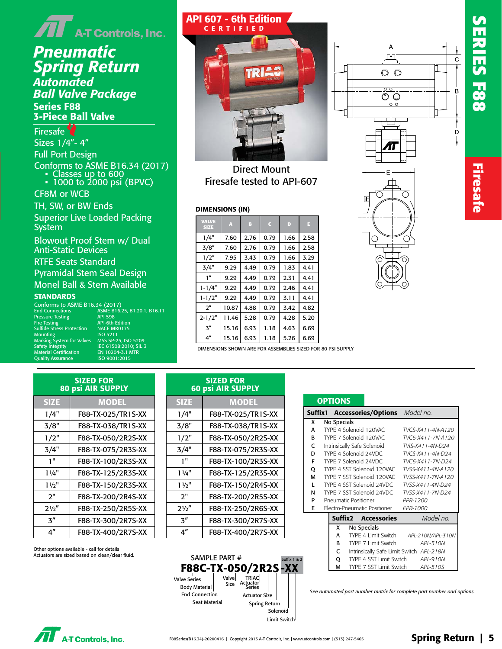# $\bar{\mathbf{J}}$   $\mathbf{I}$  a-T Controls, Inc.

# *Pneumatic Spring Return*

*Automated Ball Valve Package* Series F88 3-Piece Ball Valve

## Firesafe<sup>2</sup>

Sizes 1/4"- 4" Full Port Design Conforms to ASME B16.34 (2017) • Classes up to 600 • 1000 to 2000 psi (BPVC)

CF8M or WCB

TH, SW, or BW Ends Superior Live Loaded Packing System

Blowout Proof Stem w/ Dual Anti-Static Devices

RTFE Seats Standard

Pyramidal Stem Seal Design Monel Ball & Stem Available

#### **STANDARDS**

Conforms to ASME B16.34 (2017)<br>End Connections ASME B16. Pressure Testing<br>Fire Testing Sulfide Stress Protection NACE MR<br>Mounting 180 5211 Mounting ISO 5211 Marking System for Valves MSS SP-25, ISO 5209 Safety Integrity IEC 61508:2010; SIL 3 Material Certification EN 10204-3.1 MTR Quality Assurance ISO 9001:2015

End Connections ASME B16.25, B1.20.1, B16.11 Figure 21 state)<br>API 598<br>API-6th Edition<br>NACE MR0175



Direct Mount Firesafe tested to API-607

#### DIMENSIONS (IN)

| <b>VALVE</b><br><b>SIZE</b> | А     | B    | c    | D    | E    |
|-----------------------------|-------|------|------|------|------|
| 1/4"                        | 7.60  | 2.76 | 0.79 | 1.66 | 2.58 |
| 3/8''                       | 7.60  | 2.76 | 0.79 | 1.66 | 2.58 |
| 1/2"                        | 7.95  | 3.43 | 0.79 | 1.66 | 3.29 |
| 3/4''                       | 9.29  | 4.49 | 0.79 | 1.83 | 4.41 |
| 1 <sup>n</sup>              | 9.29  | 4.49 | 0.79 | 2.31 | 4.41 |
| 1-1/4″                      | 9.29  | 4.49 | 0.79 | 2.46 | 4.41 |
| $1 - 1/2"$                  | 9.29  | 4.49 | 0.79 | 3.11 | 4.41 |
| 2 <sup>n</sup>              | 10.87 | 4.88 | 0.79 | 3.42 | 4.82 |
| $2 - 1/2"$                  | 11.46 | 5.28 | 0.79 | 4.28 | 5.20 |
| 3''                         | 15.16 | 6.93 | 1.18 | 4.63 | 6.69 |
| 4"                          | 15.16 | 6.93 | 1.18 | 5.26 | 6.69 |



**SERIES F88 Firesafe**

**Firesate** 

С 昍

DIMENSIONS SHOWN ARE FOR ASSEMBLIES SIZED FOR 80 PSI SUPPLY

| <b>SIZED FOR</b><br><b>80 psi AIR SUPPLY</b> |                    |  |  |  |
|----------------------------------------------|--------------------|--|--|--|
| <b>SIZE</b>                                  | <b>MODEL</b>       |  |  |  |
| 1/4"                                         | F88-TX-025/TR1S-XX |  |  |  |
| 3/8"                                         | F88-TX-038/TR1S-XX |  |  |  |
| 1/2"                                         | F88-TX-050/2R2S-XX |  |  |  |
| 3/4"                                         | F88-TX-075/2R3S-XX |  |  |  |
| 1"                                           | F88-TX-100/2R3S-XX |  |  |  |
| 11/4"                                        | F88-TX-125/2R3S-XX |  |  |  |
| $1\frac{1}{2}$                               | F88-TX-150/2R3S-XX |  |  |  |
| 2"                                           | F88-TX-200/2R4S-XX |  |  |  |
| 21/2"                                        | F88-TX-250/2R5S-XX |  |  |  |
| $\mathbf{z}''$                               | F88-TX-300/2R7S-XX |  |  |  |
| 4″                                           | F88-TX-400/2R7S-XX |  |  |  |

| <b>60 psi AIR SUPPLY</b> |                    |  |  |  |
|--------------------------|--------------------|--|--|--|
| <b>SIZE</b>              | <b>MODEL</b>       |  |  |  |
| 1/4"                     | F88-TX-025/TR1S-XX |  |  |  |
| 3/8"                     | F88-TX-038/TR1S-XX |  |  |  |
| 1/2"                     | F88-TX-050/2R2S-XX |  |  |  |
| 3/4"                     | F88-TX-075/2R3S-XX |  |  |  |
| 1"                       | F88-TX-100/2R3S-XX |  |  |  |
| $1\frac{1}{4}$           | F88-TX-125/2R3S-XX |  |  |  |
| $1\frac{1}{2}$           | F88-TX-150/2R4S-XX |  |  |  |
| ን"                       | F88-TX-200/2R5S-XX |  |  |  |
| $2\frac{1}{2}$           | F88-TX-250/2R6S-XX |  |  |  |
| 3 <sup>n</sup>           | F88-TX-300/2R7S-XX |  |  |  |
| 4″                       | F88-TX-400/2R7S-XX |  |  |  |

SIZED FOR

|              | <b>OPTIONS</b>             |                                       |  |                                          |  |
|--------------|----------------------------|---------------------------------------|--|------------------------------------------|--|
|              |                            | Suffix1 Accessories/Options Model no. |  |                                          |  |
| x            | No Specials                |                                       |  |                                          |  |
| A            |                            | TYPE 4 Solenoid 120VAC                |  | TVCS-X411-4N-A120                        |  |
| B            |                            | TYPE 7 Solenoid 120VAC                |  | TVC6-X411-7N-A120                        |  |
| C            |                            | Intrinsically Safe Solenoid           |  | TVIS-X411-4N-D24                         |  |
| D            |                            | TYPE 4 Solenoid 24VDC                 |  | TVCS-X411-4N-D24                         |  |
| F            |                            | TYPE 7 Solenoid 24VDC                 |  | TVC6-X411-7N-D24                         |  |
| Q            | TYPE 4 SST Solenoid 120VAC |                                       |  | TVSS-X411-4N-A120                        |  |
| M            | TYPE 7 SST Solenoid 120VAC |                                       |  | TVSS-X411-7N-A120                        |  |
| $\mathbf{L}$ | TYPE 4 SST Solenoid 24VDC  |                                       |  | TVSS-X411-4N-D24                         |  |
| N            |                            | TYPE 7 SST Solenoid 24VDC             |  | TVSS-X411-7N-D24                         |  |
| P            |                            | Pneumatic Positioner                  |  | PPR-1200                                 |  |
| F            |                            | Electro-Pneumatic Positioner          |  | <b>FPR-1000</b>                          |  |
|              |                            | <b>Suffix2 Accessories</b>            |  | Model no.                                |  |
|              | x                          | No Specials                           |  |                                          |  |
|              | A                          |                                       |  | TYPE 4 Limit Switch APL-210N/APL-310N    |  |
|              | R                          | TYPE 7 Limit Switch                   |  | API-510N                                 |  |
|              | C                          |                                       |  | Intrinsically Safe Limit Switch APL-218N |  |
|              | 0                          | TYPE 4 SST Limit Switch               |  | API -910N                                |  |
|              | М                          |                                       |  | TYPE 7 SST Limit Switch <i>APL-510S</i>  |  |
|              |                            |                                       |  |                                          |  |

*See automated part number matrix for complete part number and options.*

Other options available - call for details Actuators are sized based on clean/clear fluid.



| 9 | 0.79 | 1.83 | 4.41 |
|---|------|------|------|
| 9 | 0.79 | 2.31 | 4.41 |
| 9 | 0.79 | 2.46 | 4.41 |
| 9 | 0.79 | 3.11 | 4.41 |
| 8 | 0.79 | 3.42 | 4.82 |
| 8 | 0.79 | 4.28 | 5.20 |
| 3 | 1.18 | 4.63 | 6.69 |
|   |      |      |      |

**AT** A-T Controls, Inc.

Limit Switch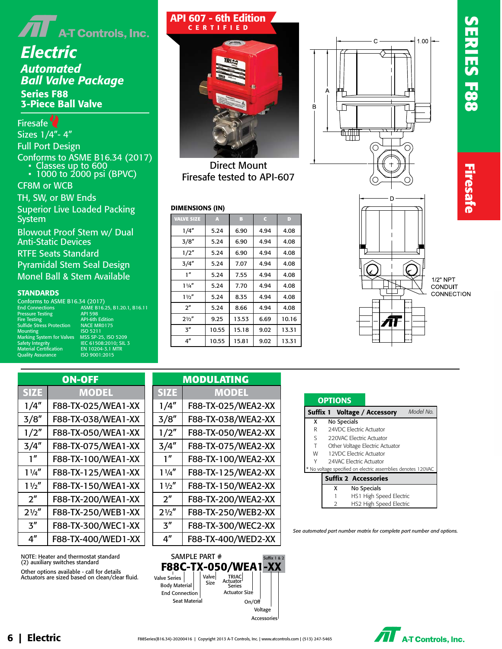

## *Electric Automated Ball Valve Package* Series F88 3-Piece Ball Valve

Firesafe<sup>2</sup> Sizes 1/4"- 4" Full Port Design Conforms to ASME B16.34 (2017) • Classes up to 600 • 1000 to 2000 psi (BPVC) CF8M or WCB

TH, SW, or BW Ends Superior Live Loaded Packing System

Blowout Proof Stem w/ Dual Anti-Static Devices RTFE Seats Standard

Pyramidal Stem Seal Design Monel Ball & Stem Available

#### **STANDARDS**

Conforms to ASME B16.34 (2017) End Connections ASME B16.25, B1.20.1, B16.11 Pressure Testing API 598 Fire Testing API-6th Edition Nossance Texting Market The Stress Protection<br>Sulfide Stress Protection NACE MR0175<br>Mounting 1SO 5211 Mounting ISO 5211 Marking System for Valves MSS SP-25, ISO 5209 Safety Integrity IEC 61508:2010; SIL 3 Material Certification EN 10204-3.1 MTR Quality Assurance ISO 9001:2015

| API 607 - 6th Edition<br><b>CERTIFIED</b> |
|-------------------------------------------|
|                                           |

Direct Mount Firesafe tested to API-607

#### DIMENSIONS (IN)

| <b>VALVE SIZE</b> | A     | B     | C    | D     |
|-------------------|-------|-------|------|-------|
| 1/4″              | 5.24  | 6.90  | 4.94 | 4.08  |
| 3/8''             | 5.24  | 6.90  | 4.94 | 4.08  |
| 1/2"              | 5.24  | 6.90  | 4.94 | 4.08  |
| 3/4''             | 5.24  | 7.07  | 4.94 | 4.08  |
| 1''               | 5.24  | 7.55  | 4.94 | 4.08  |
| $1\frac{1}{4}$    | 5.24  | 7.70  | 4.94 | 4.08  |
| $1\frac{1}{2}$    | 5.24  | 8.35  | 4.94 | 4.08  |
| 2 <sup>n</sup>    | 5.24  | 8.66  | 4.94 | 4.08  |
| $2\frac{1}{2}$    | 9.25  | 13.53 | 6.69 | 10.16 |
| 3″                | 10.55 | 15.18 | 9.02 | 13.31 |
| 4″                | 10.55 | 15.81 | 9.02 | 13.31 |





**Firesafe** 



1/2" NPT CONDUIT CONNECTION

| <b>ON-OFF</b>   |                    |  |  |  |  |
|-----------------|--------------------|--|--|--|--|
| <b>SIZE</b>     | <b>MODEL</b>       |  |  |  |  |
| 1/4''           | F88-TX-025/WEA1-XX |  |  |  |  |
| 3/8''           | F88-TX-038/WEA1-XX |  |  |  |  |
| 1/2''           | F88-TX-050/WEA1-XX |  |  |  |  |
| 3/4″            | F88-TX-075/WEA1-XX |  |  |  |  |
| 1''             | F88-TX-100/WEA1-XX |  |  |  |  |
| $1\frac{1}{4}$  | F88-TX-125/WEA1-XX |  |  |  |  |
| 11/2''          | F88-TX-150/WEA1-XX |  |  |  |  |
| 2 <sup>''</sup> | F88-TX-200/WEA1-XX |  |  |  |  |
| 21/2            | F88-TX-250/WEB1-XX |  |  |  |  |
| 3''             | F88-TX-300/WEC1-XX |  |  |  |  |
| 4″              | F88-TX-400/WED1-XX |  |  |  |  |

NOTE: Heater and thermostat standard (2) auxiliary switches standard Other options available - call for details Actuators are sized based on clean/clear fluid.

| <b>MODULATING</b>           |                    |  |  |  |
|-----------------------------|--------------------|--|--|--|
| <b>SIZE</b>                 | <b>MODEL</b>       |  |  |  |
| 1/4"                        | F88-TX-025/WEA2-XX |  |  |  |
| 3/8''                       | F88-TX-038/WEA2-XX |  |  |  |
| 1/2"                        | F88-TX-050/WEA2-XX |  |  |  |
| 3/4''                       | F88-TX-075/WEA2-XX |  |  |  |
| 1"                          | F88-TX-100/WEA2-XX |  |  |  |
| $1\frac{1}{4}$              | F88-TX-125/WEA2-XX |  |  |  |
| $1\frac{1}{2}$              | F88-TX-150/WEA2-XX |  |  |  |
| $2^{\prime\prime}$          | F88-TX-200/WEA2-XX |  |  |  |
| $2\frac{1}{2}$              | F88-TX-250/WEB2-XX |  |  |  |
| $\mathbf{3}^{\prime\prime}$ | F88-TX-300/WEC2-XX |  |  |  |
| 4″                          | F88-TX-400/WED2-XX |  |  |  |
|                             |                    |  |  |  |



|             |               | Suffix 1 Voltage / Accessory                                 | Model No. |
|-------------|---------------|--------------------------------------------------------------|-----------|
| x           |               | No Specials                                                  |           |
| R           |               | 24VDC Electric Actuator                                      |           |
| $S_{\perp}$ |               | 220VAC Electric Actuator                                     |           |
| T           |               | Other Voltage Electric Actuator                              |           |
| <b>W</b>    |               | 12VDC Electric Actuator                                      |           |
|             |               | 24VAC Electric Actuator                                      |           |
|             |               | * No voltage specified on electric assemblies denotes 120VAC |           |
|             |               | <b>Suffix 2 Accessories</b>                                  |           |
|             | x             | No Specials                                                  |           |
|             |               | HS1 High Speed Electric                                      |           |
|             | $\mathcal{P}$ | HS2 High Speed Electric                                      |           |

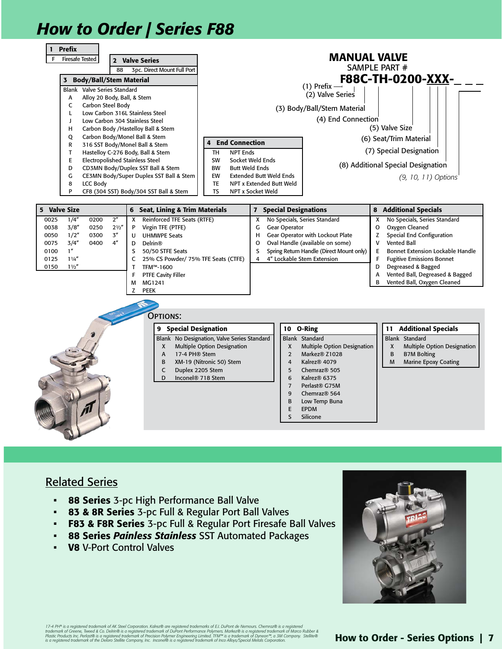# *How to Order | Series F88*



### Related Series

- 88 Series 3-pc High Performance Ball Valve
- 83 & 8R Series 3-pc Full & Regular Port Ball Valves
- F83 & F8R Series 3-pc Full & Regular Port Firesafe Ball Valves
- 88 Series *Painless Stainless* SST Automated Packages
- **V8 V-Port Control Valves**



17-4 PH® is a registered trademark of AK Steel Corporation. Kalrez® are registered trademarks of E.I. DuPont de Nemours. Chemraz® is a registered<br>trademark of Greene, Tweed & Co. Delinr® is a registered trademark of DuPor